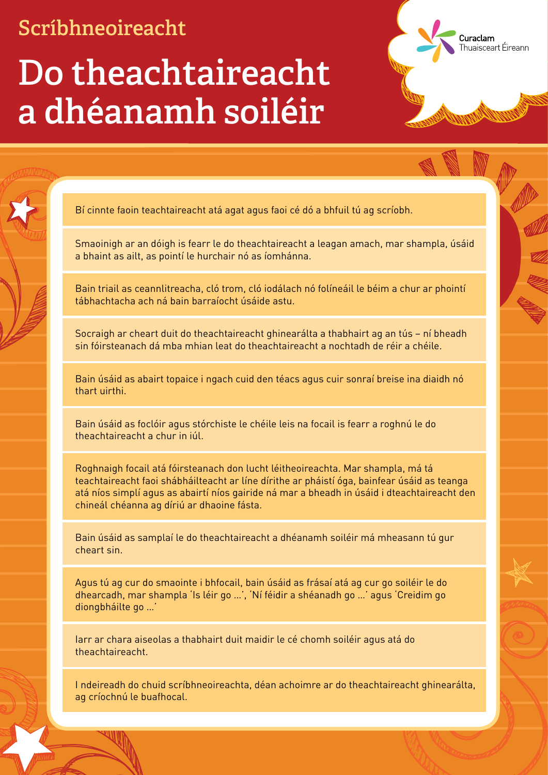### **Do theachtaireacht a dhéanamh soiléir**

Bí cinnte faoin teachtaireacht atá agat agus faoi cé dó a bhfuil tú ag scríobh.

Smaoinigh ar an dóigh is fearr le do theachtaireacht a leagan amach, mar shampla, úsáid a bhaint as ailt, as pointí le hurchair nó as íomhánna.

Curaclam

huaisceart Éireann

Bain triail as ceannlitreacha, cló trom, cló iodálach nó folíneáil le béim a chur ar phointí tábhachtacha ach ná bain barraíocht úsáide astu.

Socraigh ar cheart duit do theachtaireacht ghinearálta a thabhairt ag an tús – ní bheadh sin fóirsteanach dá mba mhian leat do theachtaireacht a nochtadh de réir a chéile.

Bain úsáid as abairt topaice i ngach cuid den téacs agus cuir sonraí breise ina diaidh nó thart uirthi.

Bain úsáid as foclóir agus stórchiste le chéile leis na focail is fearr a roghnú le do theachtaireacht a chur in iúl.

Roghnaigh focail atá fóirsteanach don lucht léitheoireachta. Mar shampla, má tá teachtaireacht faoi shábháilteacht ar líne dírithe ar pháistí óga, bainfear úsáid as teanga atá níos simplí agus as abairtí níos gairide ná mar a bheadh in úsáid i dteachtaireacht den chineál chéanna ag díriú ar dhaoine fásta.

Bain úsáid as samplaí le do theachtaireacht a dhéanamh soiléir má mheasann tú gur cheart sin.

Agus tú ag cur do smaointe i bhfocail, bain úsáid as frásaí atá ag cur go soiléir le do dhearcadh, mar shampla 'Is léir go …', 'Ní féidir a shéanadh go …' agus 'Creidim go diongbháilte go …'

Iarr ar chara aiseolas a thabhairt duit maidir le cé chomh soiléir agus atá do theachtaireacht.

I ndeireadh do chuid scríbhneoireachta, déan achoimre ar do theachtaireacht ghinearálta, ag críochnú le buafhocal.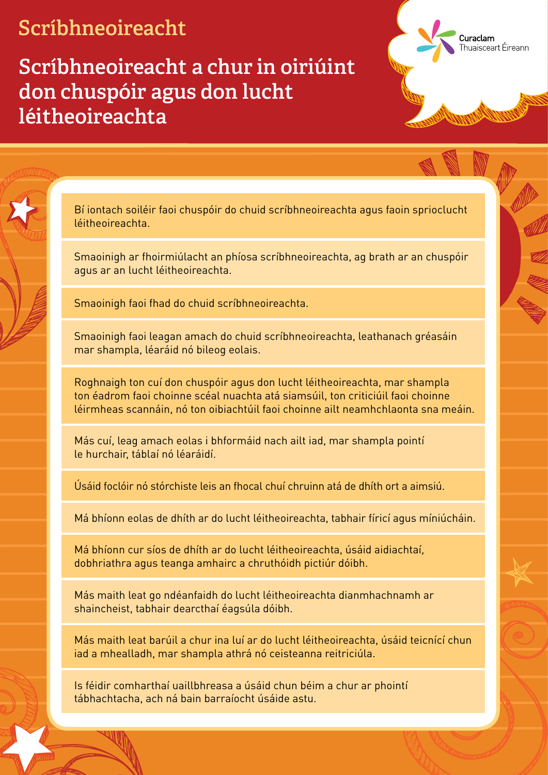**Scríbhneoireacht a chur in oiriúint don chuspóir agus don lucht léitheoireachta**

> Bí iontach soiléir faoi chuspóir do chuid scríbhneoireachta agus faoin sprioclucht léitheoireachta.

Curaclam

huaisceart Éireann

Smaoinigh ar fhoirmiúlacht an phíosa scríbhneoireachta, ag brath ar an chuspóir agus ar an lucht léitheoireachta.

Smaoinigh faoi fhad do chuid scríbhneoireachta.

Smaoinigh faoi leagan amach do chuid scríbhneoireachta, leathanach gréasáin mar shampla, léaráid nó bileog eolais.

Roghnaigh ton cuí don chuspóir agus don lucht léitheoireachta, mar shampla ton éadrom faoi choinne scéal nuachta atá siamsúil, ton criticiúil faoi choinne léirmheas scannáin, nó ton oibiachtúil faoi choinne ailt neamhchlaonta sna meáin.

Más cuí, leag amach eolas i bhformáid nach ailt iad, mar shampla pointí le hurchair, táblaí nó léaráidí.

Úsáid foclóir nó stórchiste leis an fhocal chuí chruinn atá de dhíth ort a aimsiú.

Má bhíonn eolas de dhíth ar do lucht léitheoireachta, tabhair fíricí agus míniúcháin.

Má bhíonn cur síos de dhíth ar do lucht léitheoireachta, úsáid aidiachtaí, dobhriathra agus teanga amhairc a chruthóidh pictiúr dóibh.

Más maith leat go ndéanfaidh do lucht léitheoireachta dianmhachnamh ar shaincheist, tabhair dearcthaí éagsúla dóibh.

Más maith leat barúil a chur ina luí ar do lucht léitheoireachta, úsáid teicnící chun iad a mhealladh, mar shampla athrá nó ceisteanna reitriciúla.

Is féidir comharthaí uaillbhreasa a úsáid chun béim a chur ar phointí tábhachtacha, ach ná bain barraíocht úsáide astu.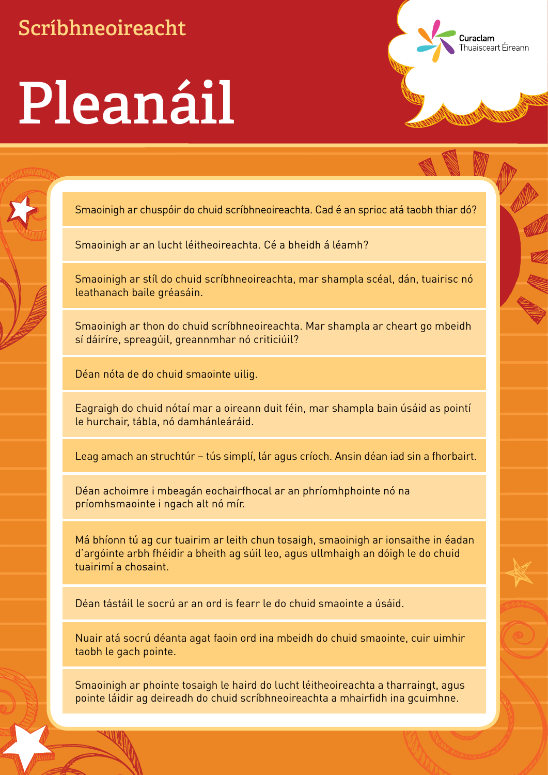## **Pleanáil**

Smaoinigh ar chuspóir do chuid scríbhneoireachta. Cad é an sprioc atá taobh thiar dó?

Curaclam

huaisceart Éireann

Smaoinigh ar an lucht léitheoireachta. Cé a bheidh á léamh?

Smaoinigh ar stíl do chuid scríbhneoireachta, mar shampla scéal, dán, tuairisc nó leathanach baile gréasáin.

Smaoinigh ar thon do chuid scríbhneoireachta. Mar shampla ar cheart go mbeidh sí dáiríre, spreagúil, greannmhar nó criticiúil?

Déan nóta de do chuid smaointe uilig.

Eagraigh do chuid nótaí mar a oireann duit féin, mar shampla bain úsáid as pointí le hurchair, tábla, nó damhánleáráid.

Leag amach an struchtúr – tús simplí, lár agus críoch. Ansin déan iad sin a fhorbairt.

Déan achoimre i mbeagán eochairfhocal ar an phríomhphointe nó na príomhsmaointe i ngach alt nó mír.

Má bhíonn tú ag cur tuairim ar leith chun tosaigh, smaoinigh ar ionsaithe in éadan d'argóinte arbh fhéidir a bheith ag súil leo, agus ullmhaigh an dóigh le do chuid tuairimí a chosaint.

Déan tástáil le socrú ar an ord is fearr le do chuid smaointe a úsáid.

Nuair atá socrú déanta agat faoin ord ina mbeidh do chuid smaointe, cuir uimhir taobh le gach pointe.

Smaoinigh ar phointe tosaigh le haird do lucht léitheoireachta a tharraingt, agus pointe láidir ag deireadh do chuid scríbhneoireachta a mhairfidh ina gcuimhne.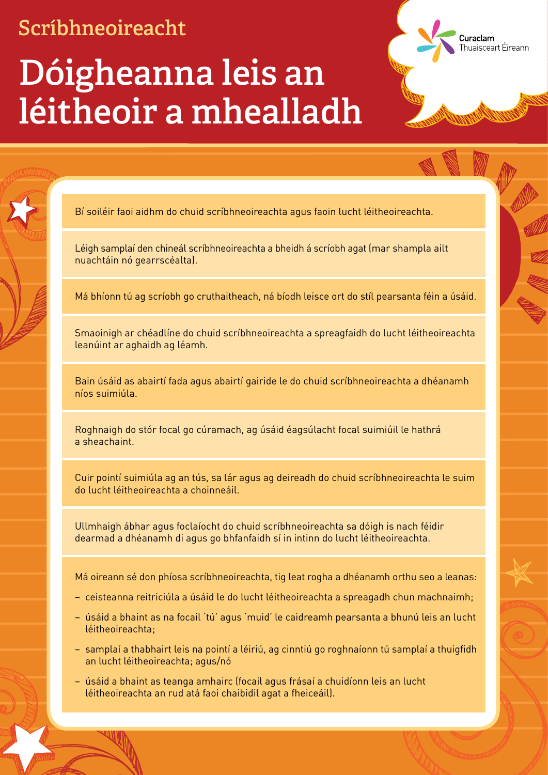## **Dóigheanna leis an léitheoir a mhealladh**

Bí soiléir faoi aidhm do chuid scríbhneoireachta agus faoin lucht léitheoireachta.

Léigh samplaí den chineál scríbhneoireachta a bheidh á scríobh agat (mar shampla ailt nuachtáin nó gearrscéalta).

Má bhíonn tú ag scríobh go cruthaitheach, ná bíodh leisce ort do stíl pearsanta féin a úsáid.

Curaclam

. . . . . . . . . .<br>Thuaisceart Éireann

Smaoinigh ar chéadlíne do chuid scríbhneoireachta a spreagfaidh do lucht léitheoireachta leanúint ar aghaidh ag léamh.

Bain úsáid as abairtí fada agus abairtí gairide le do chuid scríbhneoireachta a dhéanamh níos suimiúla.

Roghnaigh do stór focal go cúramach, ag úsáid éagsúlacht focal suimiúil le hathrá a sheachaint.

Cuir pointí suimiúla ag an tús, sa lár agus ag deireadh do chuid scríbhneoireachta le suim do lucht léitheoireachta a choinneáil.

Ullmhaigh ábhar agus foclaíocht do chuid scríbhneoireachta sa dóigh is nach féidir dearmad a dhéanamh di agus go bhfanfaidh sí in intinn do lucht léitheoireachta.

Má oireann sé don phíosa scríbhneoireachta, tig leat rogha a dhéanamh orthu seo a leanas:

- ceisteanna reitriciúla a úsáid le do lucht léitheoireachta a spreagadh chun machnaimh;
- úsáid a bhaint as na focail 'tú' agus 'muid' le caidreamh pearsanta a bhunú leis an lucht léitheoireachta;
- samplaí a thabhairt leis na pointí a léiriú, ag cinntiú go roghnaíonn tú samplaí a thuigfidh an lucht léitheoireachta; agus/nó
- úsáid a bhaint as teanga amhairc (focail agus frásaí a chuidíonn leis an lucht léitheoireachta an rud atá faoi chaibidil agat a fheiceáil).